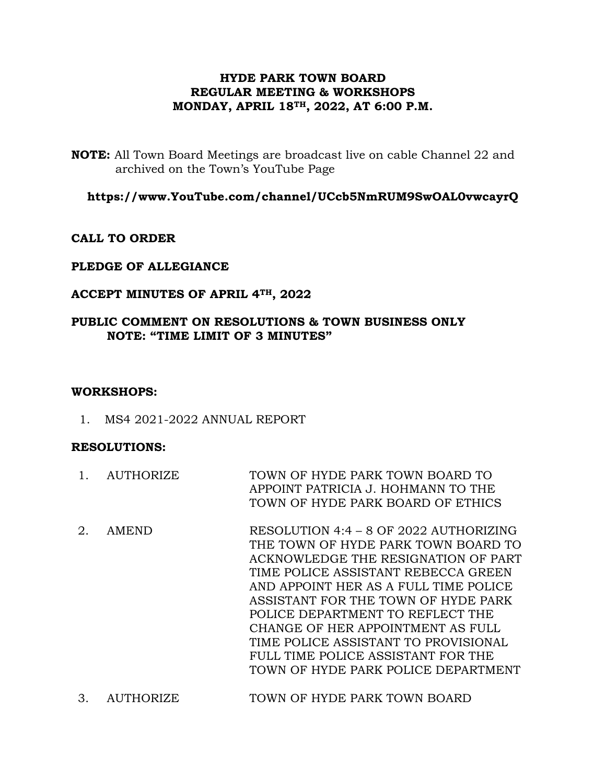# **HYDE PARK TOWN BOARD REGULAR MEETING & WORKSHOPS MONDAY, APRIL 18TH, 2022, AT 6:00 P.M.**

**NOTE:** All Town Board Meetings are broadcast live on cable Channel 22 and archived on the Town's YouTube Page

**https://www.YouTube.com/channel/UCcb5NmRUM9SwOAL0vwcayrQ**

**CALL TO ORDER**

#### **PLEDGE OF ALLEGIANCE**

#### **ACCEPT MINUTES OF APRIL 4TH, 2022**

### **PUBLIC COMMENT ON RESOLUTIONS & TOWN BUSINESS ONLY NOTE: "TIME LIMIT OF 3 MINUTES"**

#### **WORKSHOPS:**

1. MS4 2021-2022 ANNUAL REPORT

#### **RESOLUTIONS:**

- 1. AUTHORIZE TOWN OF HYDE PARK TOWN BOARD TO APPOINT PATRICIA J. HOHMANN TO THE TOWN OF HYDE PARK BOARD OF ETHICS
- 2. AMEND RESOLUTION 4:4 8 OF 2022 AUTHORIZING THE TOWN OF HYDE PARK TOWN BOARD TO ACKNOWLEDGE THE RESIGNATION OF PART TIME POLICE ASSISTANT REBECCA GREEN AND APPOINT HER AS A FULL TIME POLICE ASSISTANT FOR THE TOWN OF HYDE PARK POLICE DEPARTMENT TO REFLECT THE CHANGE OF HER APPOINTMENT AS FULL TIME POLICE ASSISTANT TO PROVISIONAL FULL TIME POLICE ASSISTANT FOR THE TOWN OF HYDE PARK POLICE DEPARTMENT
- 3. AUTHORIZE TOWN OF HYDE PARK TOWN BOARD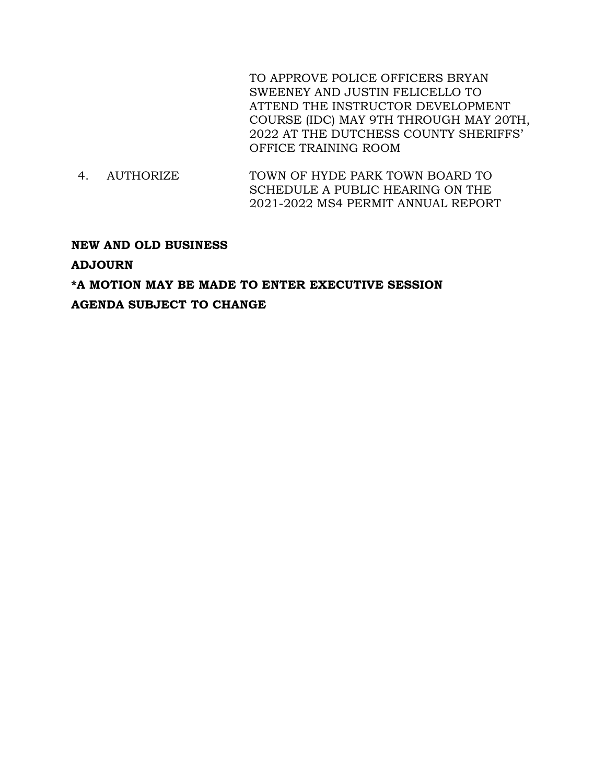TO APPROVE POLICE OFFICERS BRYAN SWEENEY AND JUSTIN FELICELLO TO ATTEND THE INSTRUCTOR DEVELOPMENT COURSE (IDC) MAY 9TH THROUGH MAY 20TH, 2022 AT THE DUTCHESS COUNTY SHERIFFS' OFFICE TRAINING ROOM

4. AUTHORIZE TOWN OF HYDE PARK TOWN BOARD TO SCHEDULE A PUBLIC HEARING ON THE 2021-2022 MS4 PERMIT ANNUAL REPORT

# **NEW AND OLD BUSINESS**

# **ADJOURN**

# **\*A MOTION MAY BE MADE TO ENTER EXECUTIVE SESSION AGENDA SUBJECT TO CHANGE**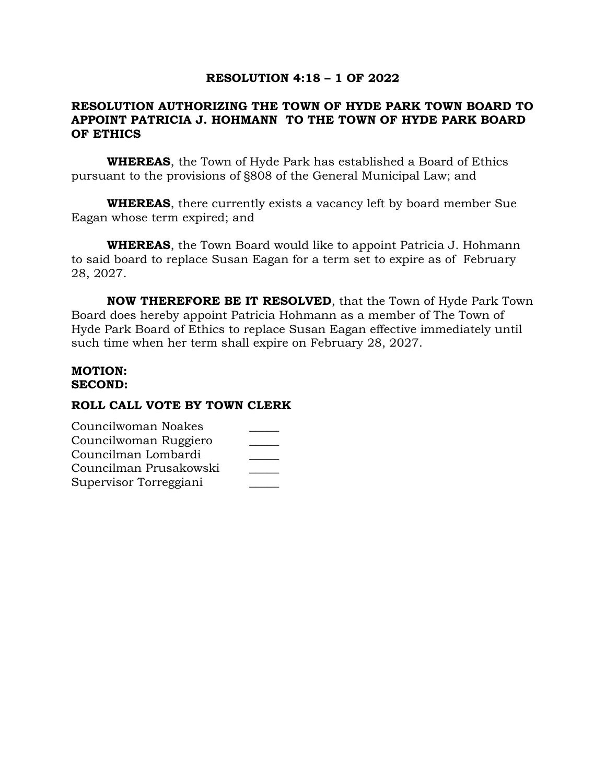# **RESOLUTION 4:18 – 1 OF 2022**

# **RESOLUTION AUTHORIZING THE TOWN OF HYDE PARK TOWN BOARD TO APPOINT PATRICIA J. HOHMANN TO THE TOWN OF HYDE PARK BOARD OF ETHICS**

**WHEREAS**, the Town of Hyde Park has established a Board of Ethics pursuant to the provisions of §808 of the General Municipal Law; and

**WHEREAS**, there currently exists a vacancy left by board member Sue Eagan whose term expired; and

**WHEREAS**, the Town Board would like to appoint Patricia J. Hohmann to said board to replace Susan Eagan for a term set to expire as of February 28, 2027.

**NOW THEREFORE BE IT RESOLVED**, that the Town of Hyde Park Town Board does hereby appoint Patricia Hohmann as a member of The Town of Hyde Park Board of Ethics to replace Susan Eagan effective immediately until such time when her term shall expire on February 28, 2027.

#### **MOTION: SECOND:**

| Councilwoman Noakes    |  |
|------------------------|--|
| Councilwoman Ruggiero  |  |
| Councilman Lombardi    |  |
| Councilman Prusakowski |  |
| Supervisor Torreggiani |  |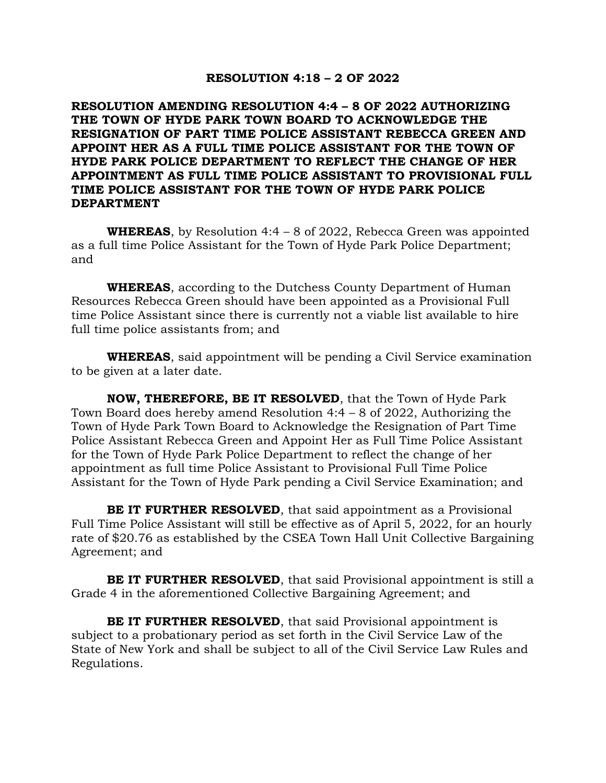#### **RESOLUTION 4:18 – 2 OF 2022**

**RESOLUTION AMENDING RESOLUTION 4:4 – 8 OF 2022 AUTHORIZING THE TOWN OF HYDE PARK TOWN BOARD TO ACKNOWLEDGE THE RESIGNATION OF PART TIME POLICE ASSISTANT REBECCA GREEN AND APPOINT HER AS A FULL TIME POLICE ASSISTANT FOR THE TOWN OF HYDE PARK POLICE DEPARTMENT TO REFLECT THE CHANGE OF HER APPOINTMENT AS FULL TIME POLICE ASSISTANT TO PROVISIONAL FULL TIME POLICE ASSISTANT FOR THE TOWN OF HYDE PARK POLICE DEPARTMENT**

**WHEREAS**, by Resolution 4:4 – 8 of 2022, Rebecca Green was appointed as a full time Police Assistant for the Town of Hyde Park Police Department; and

**WHEREAS**, according to the Dutchess County Department of Human Resources Rebecca Green should have been appointed as a Provisional Full time Police Assistant since there is currently not a viable list available to hire full time police assistants from; and

**WHEREAS**, said appointment will be pending a Civil Service examination to be given at a later date.

**NOW, THEREFORE, BE IT RESOLVED**, that the Town of Hyde Park Town Board does hereby amend Resolution 4:4 – 8 of 2022, Authorizing the Town of Hyde Park Town Board to Acknowledge the Resignation of Part Time Police Assistant Rebecca Green and Appoint Her as Full Time Police Assistant for the Town of Hyde Park Police Department to reflect the change of her appointment as full time Police Assistant to Provisional Full Time Police Assistant for the Town of Hyde Park pending a Civil Service Examination; and

**BE IT FURTHER RESOLVED**, that said appointment as a Provisional Full Time Police Assistant will still be effective as of April 5, 2022, for an hourly rate of \$20.76 as established by the CSEA Town Hall Unit Collective Bargaining Agreement; and

**BE IT FURTHER RESOLVED**, that said Provisional appointment is still a Grade 4 in the aforementioned Collective Bargaining Agreement; and

**BE IT FURTHER RESOLVED**, that said Provisional appointment is subject to a probationary period as set forth in the Civil Service Law of the State of New York and shall be subject to all of the Civil Service Law Rules and Regulations.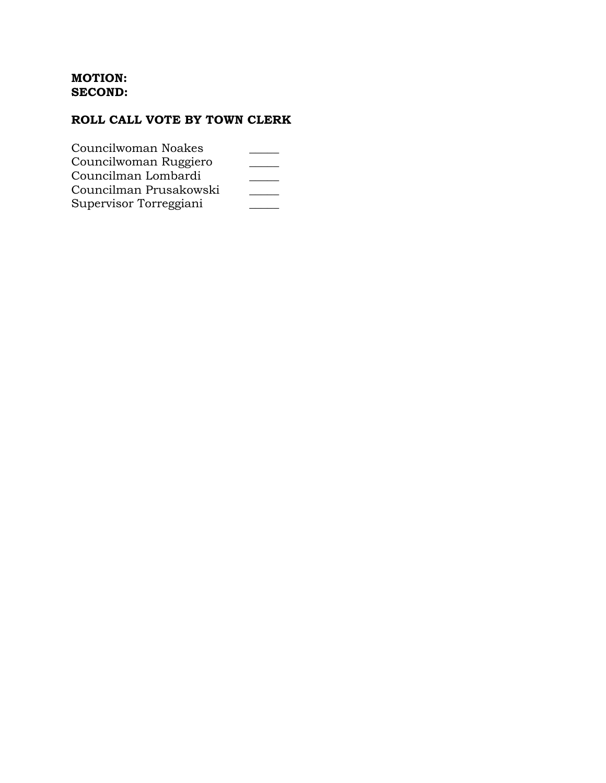# **MOTION: SECOND:**

| Councilwoman Noakes    |  |
|------------------------|--|
| Councilwoman Ruggiero  |  |
| Councilman Lombardi    |  |
| Councilman Prusakowski |  |
| Supervisor Torreggiani |  |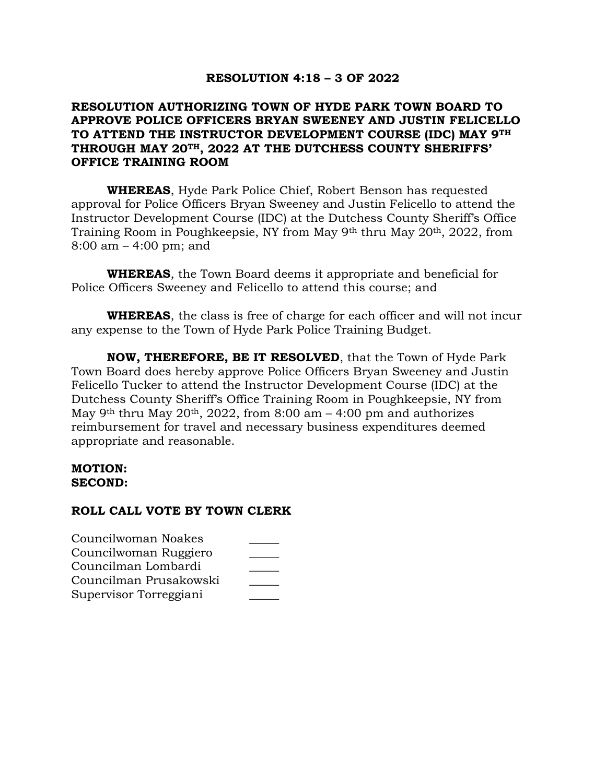## **RESOLUTION 4:18 – 3 OF 2022**

# **RESOLUTION AUTHORIZING TOWN OF HYDE PARK TOWN BOARD TO APPROVE POLICE OFFICERS BRYAN SWEENEY AND JUSTIN FELICELLO TO ATTEND THE INSTRUCTOR DEVELOPMENT COURSE (IDC) MAY 9TH THROUGH MAY 20TH, 2022 AT THE DUTCHESS COUNTY SHERIFFS' OFFICE TRAINING ROOM**

**WHEREAS**, Hyde Park Police Chief, Robert Benson has requested approval for Police Officers Bryan Sweeney and Justin Felicello to attend the Instructor Development Course (IDC) at the Dutchess County Sheriff's Office Training Room in Poughkeepsie, NY from May 9th thru May 20th, 2022, from 8:00 am – 4:00 pm; and

**WHEREAS**, the Town Board deems it appropriate and beneficial for Police Officers Sweeney and Felicello to attend this course; and

**WHEREAS**, the class is free of charge for each officer and will not incur any expense to the Town of Hyde Park Police Training Budget.

**NOW, THEREFORE, BE IT RESOLVED**, that the Town of Hyde Park Town Board does hereby approve Police Officers Bryan Sweeney and Justin Felicello Tucker to attend the Instructor Development Course (IDC) at the Dutchess County Sheriff's Office Training Room in Poughkeepsie, NY from May 9<sup>th</sup> thru May 20<sup>th</sup>, 2022, from 8:00 am  $-$  4:00 pm and authorizes reimbursement for travel and necessary business expenditures deemed appropriate and reasonable.

#### **MOTION: SECOND:**